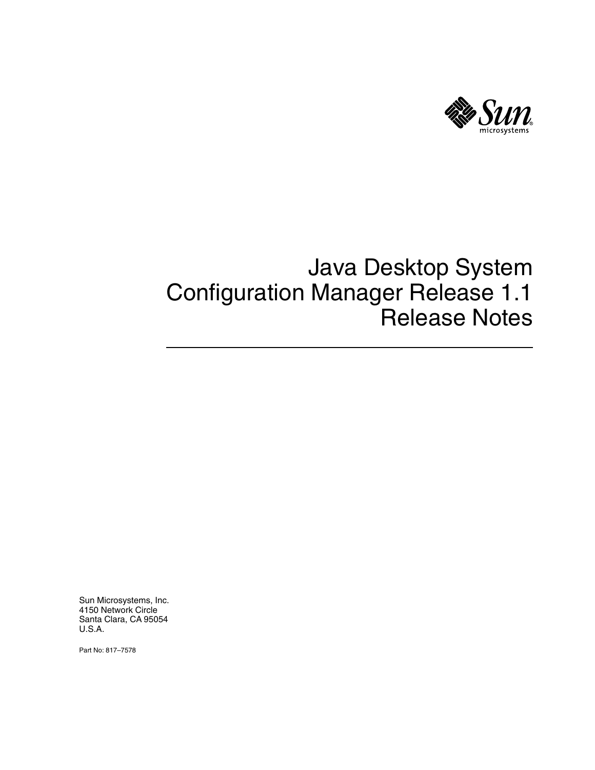

# Java Desktop System Configuration Manager Release 1.1 Release Notes

Sun Microsystems, Inc. 4150 Network Circle Santa Clara, CA 95054 U.S.A.

Part No: 817–7578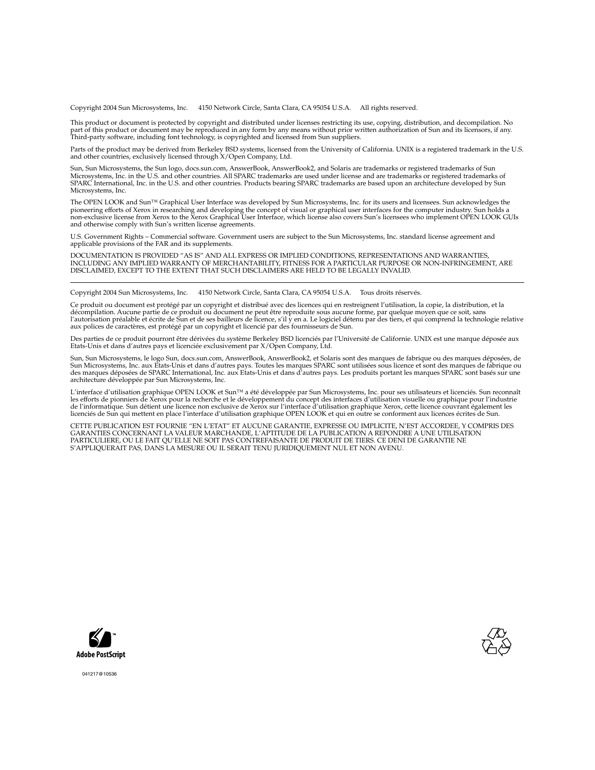Copyright 2004 Sun Microsystems, Inc. 4150 Network Circle, Santa Clara, CA 95054 U.S.A. All rights reserved.

This product or document is protected by copyright and distributed under licenses restricting its use, copying, distribution, and decompilation. No part of this product or document may be reproduced in any form by any means without prior written authorization of Sun and its licensors, if any.<br>Third-party software, including font technology, is copyrighted and licensed

Parts of the product may be derived from Berkeley BSD systems, licensed from the University of California. UNIX is a registered trademark in the U.S. and other countries, exclusively licensed through X/Open Company, Ltd.

Sun, Sun Microsystems, the Sun logo, docs.sun.com, AnswerBook, AnswerBook2, and Solaris are trademarks or registered trademarks of Sun<br>Microsystems, Inc. in the U.S. and other countries. All SPARC trademarks are used under Microsystems, Inc.

The OPEN LOOK and Sun™ Graphical User Interface was developed by Sun Microsystems, Inc. for its users and licensees. Sun acknowledges the pioneering efforts of Xerox in researching and developing the concept of visual or graphical user interfaces for the computer industry. Sun holds a<br>non-exclusive license from Xerox to the Xerox Graphical User Interface, wh and otherwise comply with Sun's written license agreements.

U.S. Government Rights – Commercial software. Government users are subject to the Sun Microsystems, Inc. standard license agreement and applicable provisions of the FAR and its supplements.

DOCUMENTATION IS PROVIDED "AS IS" AND ALL EXPRESS OR IMPLIED CONDITIONS, REPRESENTATIONS AND WARRANTIES,<br>INCLUDING ANY IMPLIED WARRANTY OF MERCHANTABILITY, FITNESS FOR A PARTICULAR PURPOSE OR NON-INFRINGEMENT, ARE<br>DISCLAIM

Copyright 2004 Sun Microsystems, Inc. 4150 Network Circle, Santa Clara, CA 95054 U.S.A. Tous droits réservés.

Ce produit ou document est protégé par un copyright et distribué avec des licences qui en restreignent l'utilisation, la copie, la distribution, et la décompilation. Aucune partie de ce produit ou document ne peut être reproduite sous aucune forme, par quelque moyen que ce soit, sans<br>l'autorisation préalable et écrite de Sun et de ses bailleurs de licence, s'il y en a. L

Des parties de ce produit pourront être dérivées du système Berkeley BSD licenciés par l'Université de Californie. UNIX est une marque déposée aux Etats-Unis et dans d'autres pays et licenciée exclusivement par X/Open Company, Ltd.

Sun, Sun Microsystems, le logo Sun, docs.sun.com, AnswerBook, AnswerBook2, et Solaris sont des marques de fabrique ou des marques déposées, de<br>Sun Microsystems, Inc. aux Etats-Unis et dans d'autres pays. Toutes les marques architecture développée par Sun Microsystems, Inc.

L'interface d'utilisation graphique OPEN LOOK et Sun™a été développée par Sun Microsystems, Inc. pour ses utilisateurs et licenciés. Sun reconnaît<br>les efforts de pionniers de Xerox pour la recherche et le développement du de l'informatique. Sun détient une licence non exclusive de Xerox sur l'interface d'utilisation graphique Xerox, cette licence couvrant également les<br>licenciés de Sun qui mettent en place l'interface d'utilisation graphiqu

CETTE PUBLICATION EST FOURNIE "EN L'ETAT" ET AUCUNE GARANTIE, EXPRESSE OU IMPLICITE, N'EST ACCORDEE, Y COMPRIS DES GARANTIES CONCERNANT LA VALEUR MARCHANDE, L'APTITUDE DE LA PUBLICATION A REPONDRE A UNE UTILISATION<br>PARTICULIERE, OU LE FAIT QU'ELLE NE SOIT PAS CONTREFAISANTE DE PRODUIT DE TIERS. CE DENI DE GARANTIE NE<br>S'APPLIQUERAIT PAS





041217@10536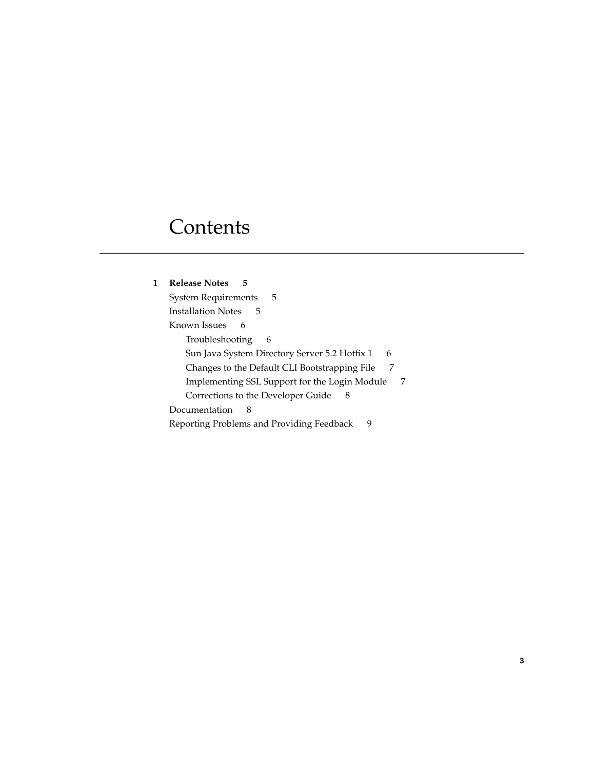## **Contents**

| 1 | Release Notes<br>5                                 |
|---|----------------------------------------------------|
|   | System Requirements<br>5                           |
|   | Installation Notes<br>5                            |
|   | Known Issues<br>6                                  |
|   | Troubleshooting 6                                  |
|   | Sun Java System Directory Server 5.2 Hotfix 1<br>6 |
|   | 7<br>Changes to the Default CLI Bootstrapping File |
|   | 7<br>Implementing SSL Support for the Login Module |
|   | Corrections to the Developer Guide<br>8            |
|   | Documentation<br>8                                 |
|   | Reporting Problems and Providing Feedback<br>9     |
|   |                                                    |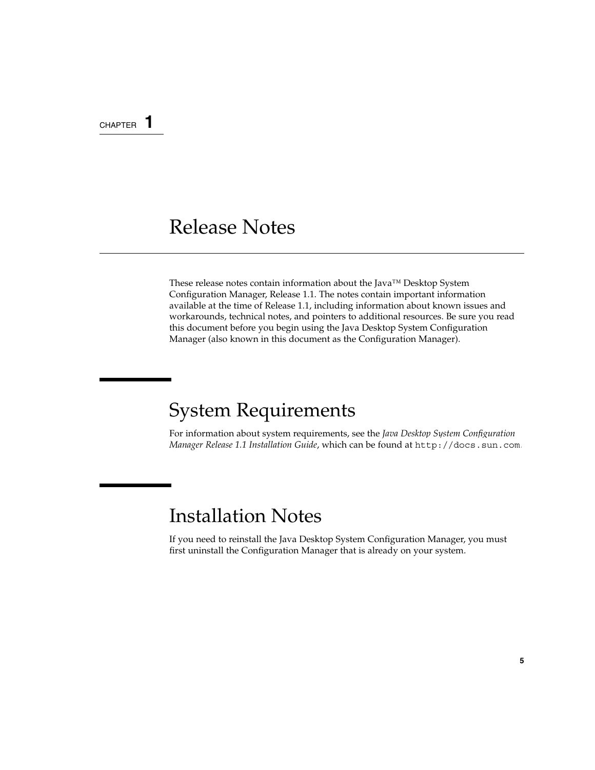#### <span id="page-4-0"></span>CHAPTER **1**

## Release Notes

These release notes contain information about the Java™ Desktop System Configuration Manager, Release 1.1. The notes contain important information available at the time of Release 1.1, including information about known issues and workarounds, technical notes, and pointers to additional resources. Be sure you read this document before you begin using the Java Desktop System Configuration Manager (also known in this document as the Configuration Manager).

## System Requirements

For information about system requirements, see the *Java Desktop System Configuration Manager Release 1.1 Installation Guide*, which can be found at <http://docs.sun.com>.

### Installation Notes

If you need to reinstall the Java Desktop System Configuration Manager, you must first uninstall the Configuration Manager that is already on your system.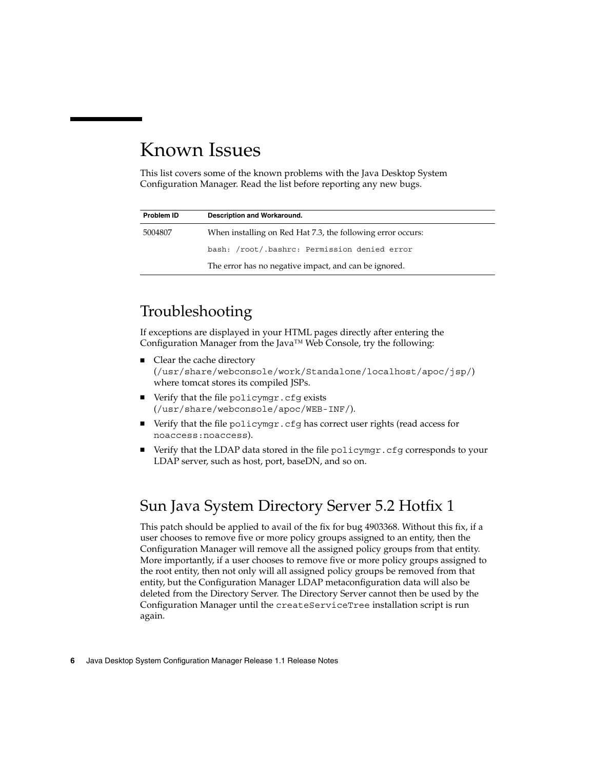## <span id="page-5-0"></span>Known Issues

This list covers some of the known problems with the Java Desktop System Configuration Manager. Read the list before reporting any new bugs.

| Problem ID | Description and Workaround.                                 |
|------------|-------------------------------------------------------------|
| 5004807    | When installing on Red Hat 7.3, the following error occurs: |
|            | bash: /root/.bashrc: Permission denied error                |
|            | The error has no negative impact, and can be ignored.       |

### Troubleshooting

If exceptions are displayed in your HTML pages directly after entering the Configuration Manager from the Java™ Web Console, try the following:

- Clear the cache directory (/usr/share/webconsole/work/Standalone/localhost/apoc/jsp/) where tomcat stores its compiled JSPs.
- Verify that the file policymgr.cfg exists (/usr/share/webconsole/apoc/WEB-INF/).
- Verify that the file policymgr.cfg has correct user rights (read access for noaccess:noaccess).
- Verify that the LDAP data stored in the file policymgr.cfg corresponds to your LDAP server, such as host, port, baseDN, and so on.

#### Sun Java System Directory Server 5.2 Hotfix 1

This patch should be applied to avail of the fix for bug 4903368. Without this fix, if a user chooses to remove five or more policy groups assigned to an entity, then the Configuration Manager will remove all the assigned policy groups from that entity. More importantly, if a user chooses to remove five or more policy groups assigned to the root entity, then not only will all assigned policy groups be removed from that entity, but the Configuration Manager LDAP metaconfiguration data will also be deleted from the Directory Server. The Directory Server cannot then be used by the Configuration Manager until the createServiceTree installation script is run again.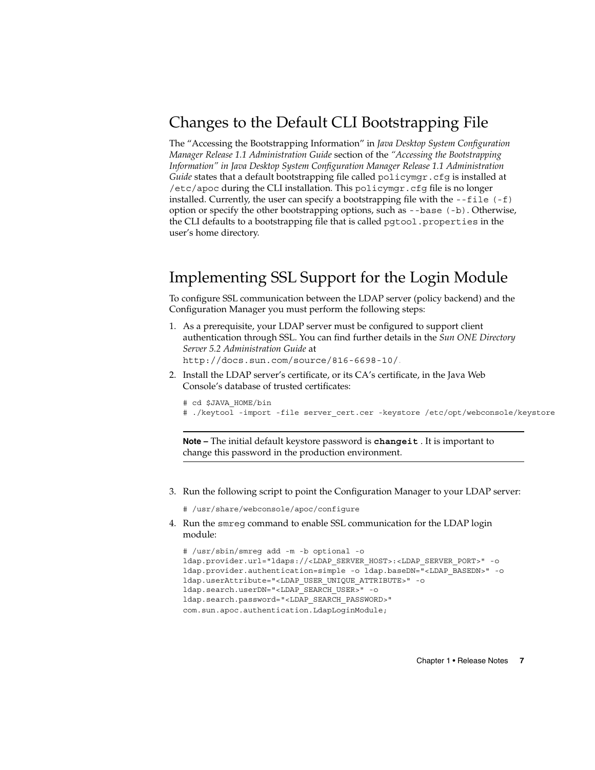#### <span id="page-6-0"></span>Changes to the Default CLI Bootstrapping File

The "Accessing the Bootstrapping Information" in *Java Desktop System Configuration Manager Release 1.1 Administration Guide* section of the *"Accessing the Bootstrapping Information" in Java Desktop System Configuration Manager Release 1.1 Administration Guide* states that a default bootstrapping file called policymgr.cfg is installed at /etc/apoc during the CLI installation. This policymgr.cfg file is no longer installed. Currently, the user can specify a bootstrapping file with the  $-$ -file  $(-f)$ option or specify the other bootstrapping options, such as --base (-b). Otherwise, the CLI defaults to a bootstrapping file that is called pgtool.properties in the user's home directory.

### Implementing SSL Support for the Login Module

To configure SSL communication between the LDAP server (policy backend) and the Configuration Manager you must perform the following steps:

- 1. As a prerequisite, your LDAP server must be configured to support client authentication through SSL. You can find further details in the *Sun ONE Directory Server 5.2 Administration Guide* at <http://docs.sun.com/source/816-6698-10/>.
- 2. Install the LDAP server's certificate, or its CA's certificate, in the Java Web Console's database of trusted certificates:

```
# cd $JAVA_HOME/bin
# ./keytool -import -file server_cert.cer -keystore /etc/opt/webconsole/keystore
```
**Note –** The initial default keystore password is **changeit** . It is important to change this password in the production environment.

3. Run the following script to point the Configuration Manager to your LDAP server:

```
# /usr/share/webconsole/apoc/configure
```
4. Run the smreg command to enable SSL communication for the LDAP login module:

```
# /usr/sbin/smreg add -m -b optional -o
ldap.provider.url="ldaps://<LDAP_SERVER_HOST>:<LDAP_SERVER_PORT>" -o
ldap.provider.authentication=simple -o ldap.baseDN="<LDAP_BASEDN>" -o
ldap.userAttribute="<LDAP_USER_UNIQUE_ATTRIBUTE>" -o
ldap.search.userDN="<LDAP_SEARCH_USER>" -o
ldap.search.password="<LDAP_SEARCH_PASSWORD>"
com.sun.apoc.authentication.LdapLoginModule;
```
Chapter 1 • Release Notes **7**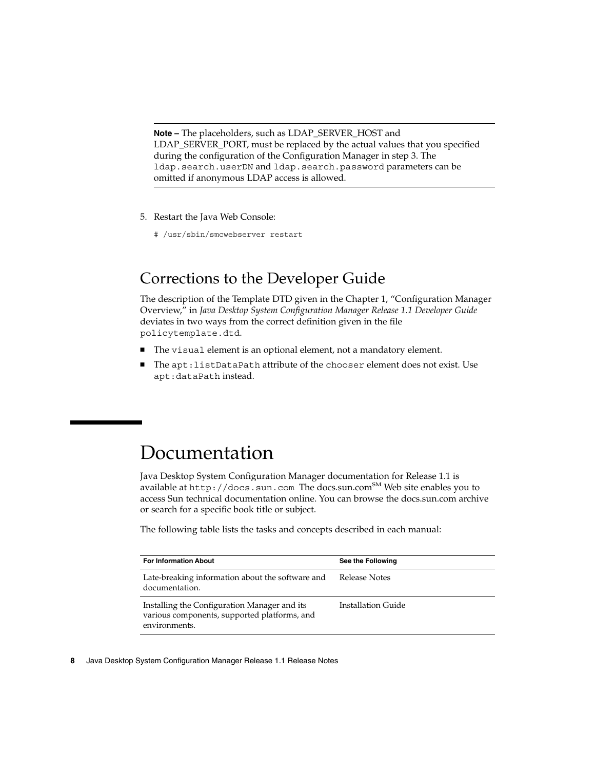<span id="page-7-0"></span>**Note –** The placeholders, such as LDAP\_SERVER\_HOST and LDAP\_SERVER\_PORT, must be replaced by the actual values that you specified during the configuration of the Configuration Manager in step 3. The ldap.search.userDN and ldap.search.password parameters can be omitted if anonymous LDAP access is allowed.

- 5. Restart the Java Web Console:
	- # /usr/sbin/smcwebserver restart

### Corrections to the Developer Guide

The description of the Template DTD given in the Chapter 1, "Configuration Manager Overview," in *Java Desktop System Configuration Manager Release 1.1 Developer Guide* deviates in two ways from the correct definition given in the file policytemplate.dtd.

- The visual element is an optional element, not a mandatory element.
- The apt:listDataPath attribute of the chooser element does not exist. Use apt:dataPath instead.

## Documentation

Java Desktop System Configuration Manager documentation for Release 1.1 is available at  $h_{\text{t}}(t)$  //docs.sun.com. The docs.sun.com<sup>SM</sup> Web site enables you to access Sun technical documentation online. You can browse the docs.sun.com archive or search for a specific book title or subject.

The following table lists the tasks and concepts described in each manual:

| <b>For Information About</b>                                                                                  | See the Following         |
|---------------------------------------------------------------------------------------------------------------|---------------------------|
| Late-breaking information about the software and<br>documentation.                                            | Release Notes             |
| Installing the Configuration Manager and its<br>various components, supported platforms, and<br>environments. | <b>Installation Guide</b> |